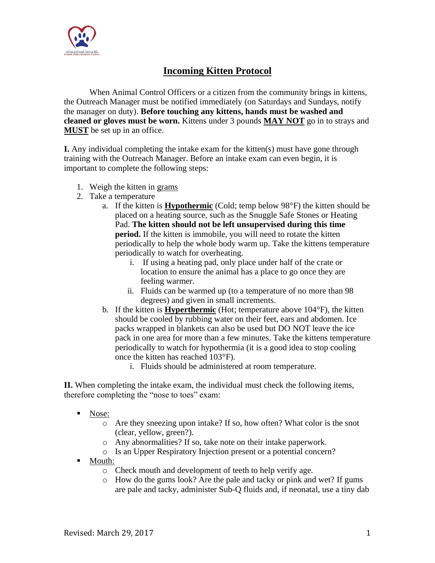

## **Incoming Kitten Protocol**

When Animal Control Officers or a citizen from the community brings in kittens, the Outreach Manager must be notified immediately (on Saturdays and Sundays, notify the manager on duty). **Before touching any kittens, hands must be washed and cleaned or gloves must be worn.** Kittens under 3 pounds **MAY NOT** go in to strays and **MUST** be set up in an office.

**I.** Any individual completing the intake exam for the kitten(s) must have gone through training with the Outreach Manager. Before an intake exam can even begin, it is important to complete the following steps:

- 1. Weigh the kitten in grams
- 2. Take a temperature
	- a. If the kitten is **Hypothermic** (Cold; temp below 98°F) the kitten should be placed on a heating source, such as the Snuggle Safe Stones or Heating Pad. **The kitten should not be left unsupervised during this time period.** If the kitten is immobile, you will need to rotate the kitten periodically to help the whole body warm up. Take the kittens temperature periodically to watch for overheating.
		- i. If using a heating pad, only place under half of the crate or location to ensure the animal has a place to go once they are feeling warmer.
		- ii. Fluids can be warmed up (to a temperature of no more than 98 degrees) and given in small increments.
	- b. If the kitten is **Hyperthermic** (Hot; temperature above 104°F), the kitten should be cooled by rubbing water on their feet, ears and abdomen. Ice packs wrapped in blankets can also be used but DO NOT leave the ice pack in one area for more than a few minutes. Take the kittens temperature periodically to watch for hypothermia (it is a good idea to stop cooling once the kitten has reached 103°F).
		- i. Fluids should be administered at room temperature.

**II.** When completing the intake exam, the individual must check the following items, therefore completing the "nose to toes" exam:

- Nose:
	- o Are they sneezing upon intake? If so, how often? What color is the snot (clear, yellow, green?).
	- o Any abnormalities? If so, take note on their intake paperwork.
	- o Is an Upper Respiratory Injection present or a potential concern?
- Mouth:
	- o Check mouth and development of teeth to help verify age.
	- o How do the gums look? Are the pale and tacky or pink and wet? If gums are pale and tacky, administer Sub-Q fluids and, if neonatal, use a tiny dab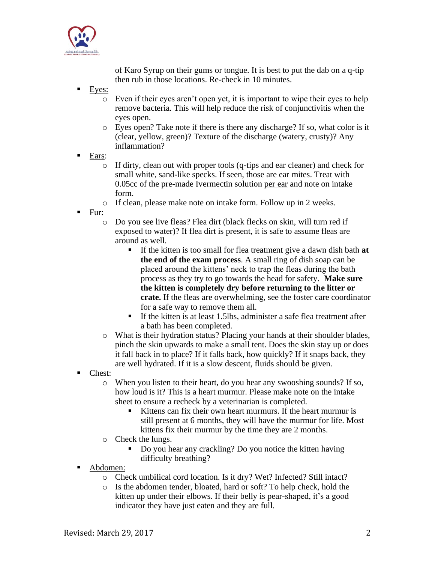

of Karo Syrup on their gums or tongue. It is best to put the dab on a q-tip then rub in those locations. Re-check in 10 minutes.

- Eyes:
	- $\circ$  Even if their eyes aren't open yet, it is important to wipe their eyes to help remove bacteria. This will help reduce the risk of conjunctivitis when the eyes open.
	- o Eyes open? Take note if there is there any discharge? If so, what color is it (clear, yellow, green)? Texture of the discharge (watery, crusty)? Any inflammation?
- Ears:
	- o If dirty, clean out with proper tools (q-tips and ear cleaner) and check for small white, sand-like specks. If seen, those are ear mites. Treat with 0.05cc of the pre-made Ivermectin solution per ear and note on intake form.
	- o If clean, please make note on intake form. Follow up in 2 weeks.
- Fur:
	- o Do you see live fleas? Flea dirt (black flecks on skin, will turn red if exposed to water)? If flea dirt is present, it is safe to assume fleas are around as well.
		- If the kitten is too small for flea treatment give a dawn dish bath **at the end of the exam process**. A small ring of dish soap can be placed around the kittens' neck to trap the fleas during the bath process as they try to go towards the head for safety. **Make sure the kitten is completely dry before returning to the litter or crate.** If the fleas are overwhelming, see the foster care coordinator for a safe way to remove them all.
		- If the kitten is at least 1.5lbs, administer a safe flea treatment after a bath has been completed.
	- o What is their hydration status? Placing your hands at their shoulder blades, pinch the skin upwards to make a small tent. Does the skin stay up or does it fall back in to place? If it falls back, how quickly? If it snaps back, they are well hydrated. If it is a slow descent, fluids should be given.
- Chest:
	- o When you listen to their heart, do you hear any swooshing sounds? If so, how loud is it? This is a heart murmur. Please make note on the intake sheet to ensure a recheck by a veterinarian is completed.
		- Kittens can fix their own heart murmurs. If the heart murmur is still present at 6 months, they will have the murmur for life. Most kittens fix their murmur by the time they are 2 months.
	- o Check the lungs.
		- Do you hear any crackling? Do you notice the kitten having difficulty breathing?
- Abdomen:
	- o Check umbilical cord location. Is it dry? Wet? Infected? Still intact?
	- o Is the abdomen tender, bloated, hard or soft? To help check, hold the kitten up under their elbows. If their belly is pear-shaped, it's a good indicator they have just eaten and they are full.